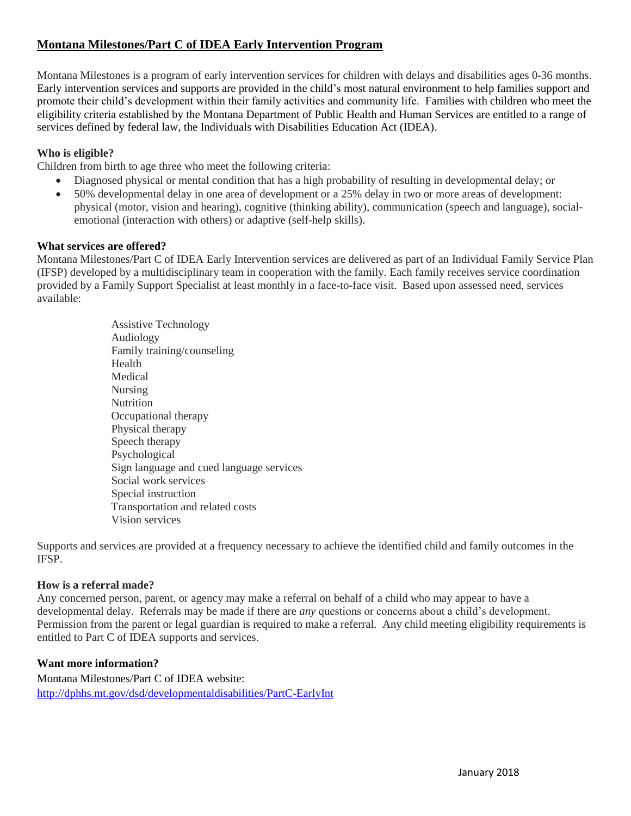# **Montana Milestones/Part C of IDEA Early Intervention Program**

Montana Milestones is a program of early intervention services for children with delays and disabilities ages 0-36 months. Early intervention services and supports are provided in the child's most natural environment to help families support and promote their child's development within their family activities and community life. Families with children who meet the eligibility criteria established by the Montana Department of Public Health and Human Services are entitled to a range of services defined by federal law, the Individuals with Disabilities Education Act (IDEA).

## **Who is eligible?**

Children from birth to age three who meet the following criteria:

- Diagnosed physical or mental condition that has a high probability of resulting in developmental delay; or
- 50% developmental delay in one area of development or a 25% delay in two or more areas of development: physical (motor, vision and hearing), cognitive (thinking ability), communication (speech and language), socialemotional (interaction with others) or adaptive (self-help skills).

#### **What services are offered?**

Montana Milestones/Part C of IDEA Early Intervention services are delivered as part of an Individual Family Service Plan (IFSP) developed by a multidisciplinary team in cooperation with the family. Each family receives service coordination provided by a Family Support Specialist at least monthly in a face-to-face visit. Based upon assessed need, services available:

> Assistive Technology Audiology Family training/counseling Health Medical Nursing **Nutrition** Occupational therapy Physical therapy Speech therapy Psychological Sign language and cued language services Social work services Special instruction Transportation and related costs Vision services

Supports and services are provided at a frequency necessary to achieve the identified child and family outcomes in the IFSP.

#### **How is a referral made?**

Any concerned person, parent, or agency may make a referral on behalf of a child who may appear to have a developmental delay. Referrals may be made if there are *any* questions or concerns about a child's development. Permission from the parent or legal guardian is required to make a referral. Any child meeting eligibility requirements is entitled to Part C of IDEA supports and services.

## **Want more information?**

Montana Milestones/Part C of IDEA website: <http://dphhs.mt.gov/dsd/developmentaldisabilities/PartC-EarlyInt>